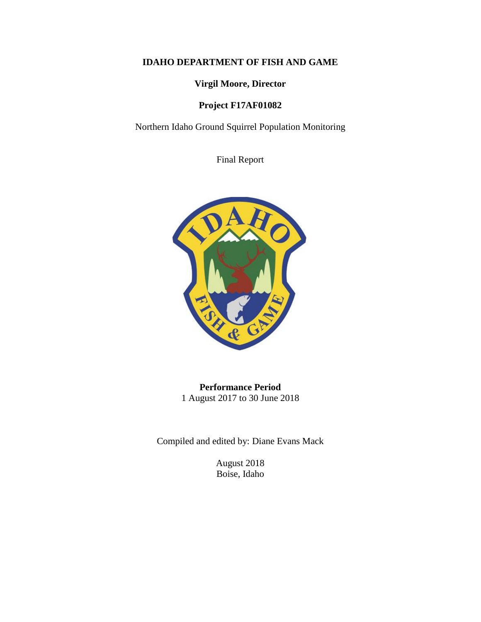# **IDAHO DEPARTMENT OF FISH AND GAME**

# **Virgil Moore, Director**

# **Project F17AF01082**

Northern Idaho Ground Squirrel Population Monitoring

Final Report



**Performance Period** 1 August 2017 to 30 June 2018

Compiled and edited by: Diane Evans Mack

August 2018 Boise, Idaho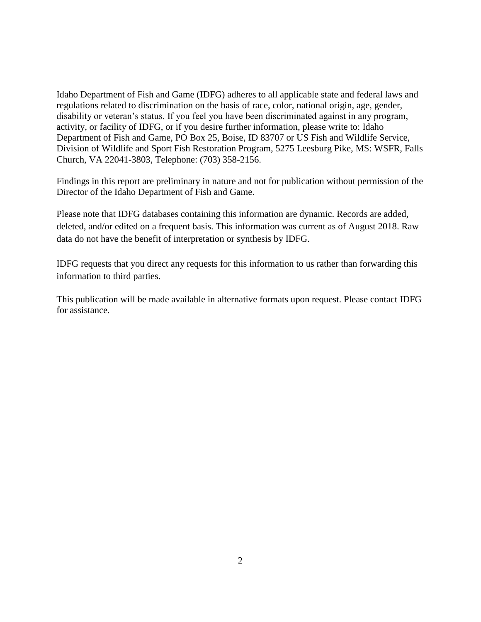Idaho Department of Fish and Game (IDFG) adheres to all applicable state and federal laws and regulations related to discrimination on the basis of race, color, national origin, age, gender, disability or veteran's status. If you feel you have been discriminated against in any program, activity, or facility of IDFG, or if you desire further information, please write to: Idaho Department of Fish and Game, PO Box 25, Boise, ID 83707 or US Fish and Wildlife Service, Division of Wildlife and Sport Fish Restoration Program, 5275 Leesburg Pike, MS: WSFR, Falls Church, VA 22041-3803, Telephone: (703) 358-2156.

Findings in this report are preliminary in nature and not for publication without permission of the Director of the Idaho Department of Fish and Game.

Please note that IDFG databases containing this information are dynamic. Records are added, deleted, and/or edited on a frequent basis. This information was current as of August 2018. Raw data do not have the benefit of interpretation or synthesis by IDFG.

IDFG requests that you direct any requests for this information to us rather than forwarding this information to third parties.

This publication will be made available in alternative formats upon request. Please contact IDFG for assistance.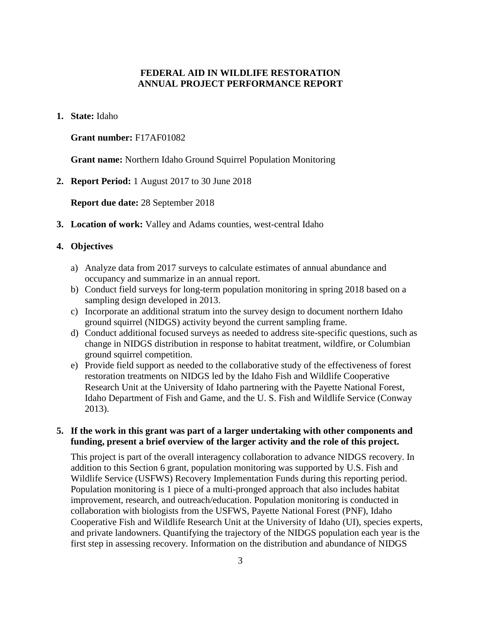# **FEDERAL AID IN WILDLIFE RESTORATION ANNUAL PROJECT PERFORMANCE REPORT**

**1. State:** Idaho

### **Grant number:** F17AF01082

**Grant name:** Northern Idaho Ground Squirrel Population Monitoring

**2. Report Period:** 1 August 2017 to 30 June 2018

**Report due date:** 28 September 2018

**3. Location of work:** Valley and Adams counties, west-central Idaho

# **4. Objectives**

- a) Analyze data from 2017 surveys to calculate estimates of annual abundance and occupancy and summarize in an annual report.
- b) Conduct field surveys for long-term population monitoring in spring 2018 based on a sampling design developed in 2013.
- c) Incorporate an additional stratum into the survey design to document northern Idaho ground squirrel (NIDGS) activity beyond the current sampling frame.
- d) Conduct additional focused surveys as needed to address site-specific questions, such as change in NIDGS distribution in response to habitat treatment, wildfire, or Columbian ground squirrel competition.
- e) Provide field support as needed to the collaborative study of the effectiveness of forest restoration treatments on NIDGS led by the Idaho Fish and Wildlife Cooperative Research Unit at the University of Idaho partnering with the Payette National Forest, Idaho Department of Fish and Game, and the U. S. Fish and Wildlife Service (Conway 2013).

## **5. If the work in this grant was part of a larger undertaking with other components and funding, present a brief overview of the larger activity and the role of this project.**

This project is part of the overall interagency collaboration to advance NIDGS recovery. In addition to this Section 6 grant, population monitoring was supported by U.S. Fish and Wildlife Service (USFWS) Recovery Implementation Funds during this reporting period. Population monitoring is 1 piece of a multi-pronged approach that also includes habitat improvement, research, and outreach/education. Population monitoring is conducted in collaboration with biologists from the USFWS, Payette National Forest (PNF), Idaho Cooperative Fish and Wildlife Research Unit at the University of Idaho (UI), species experts, and private landowners. Quantifying the trajectory of the NIDGS population each year is the first step in assessing recovery. Information on the distribution and abundance of NIDGS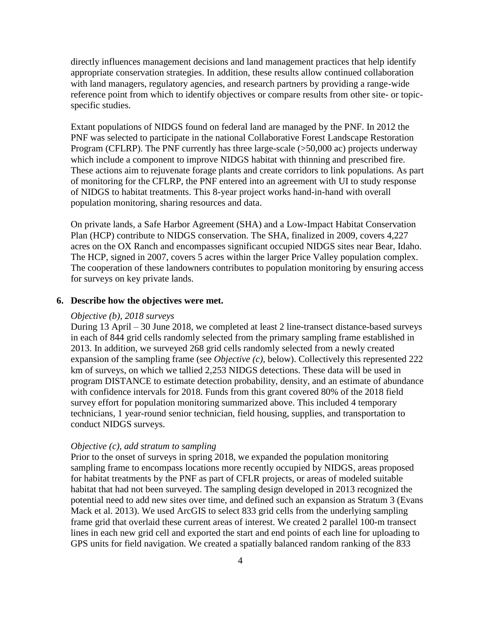directly influences management decisions and land management practices that help identify appropriate conservation strategies. In addition, these results allow continued collaboration with land managers, regulatory agencies, and research partners by providing a range-wide reference point from which to identify objectives or compare results from other site- or topicspecific studies.

Extant populations of NIDGS found on federal land are managed by the PNF. In 2012 the PNF was selected to participate in the national Collaborative Forest Landscape Restoration Program (CFLRP). The PNF currently has three large-scale (>50,000 ac) projects underway which include a component to improve NIDGS habitat with thinning and prescribed fire. These actions aim to rejuvenate forage plants and create corridors to link populations. As part of monitoring for the CFLRP, the PNF entered into an agreement with UI to study response of NIDGS to habitat treatments. This 8-year project works hand-in-hand with overall population monitoring, sharing resources and data.

On private lands, a Safe Harbor Agreement (SHA) and a Low-Impact Habitat Conservation Plan (HCP) contribute to NIDGS conservation. The SHA, finalized in 2009, covers 4,227 acres on the OX Ranch and encompasses significant occupied NIDGS sites near Bear, Idaho. The HCP, signed in 2007, covers 5 acres within the larger Price Valley population complex. The cooperation of these landowners contributes to population monitoring by ensuring access for surveys on key private lands.

#### **6. Describe how the objectives were met.**

#### *Objective (b), 2018 surveys*

During 13 April – 30 June 2018, we completed at least 2 line-transect distance-based surveys in each of 844 grid cells randomly selected from the primary sampling frame established in 2013. In addition, we surveyed 268 grid cells randomly selected from a newly created expansion of the sampling frame (see *Objective (c)*, below). Collectively this represented 222 km of surveys, on which we tallied 2,253 NIDGS detections. These data will be used in program DISTANCE to estimate detection probability, density, and an estimate of abundance with confidence intervals for 2018. Funds from this grant covered 80% of the 2018 field survey effort for population monitoring summarized above. This included 4 temporary technicians, 1 year-round senior technician, field housing, supplies, and transportation to conduct NIDGS surveys.

## *Objective (c), add stratum to sampling*

Prior to the onset of surveys in spring 2018, we expanded the population monitoring sampling frame to encompass locations more recently occupied by NIDGS, areas proposed for habitat treatments by the PNF as part of CFLR projects, or areas of modeled suitable habitat that had not been surveyed. The sampling design developed in 2013 recognized the potential need to add new sites over time, and defined such an expansion as Stratum 3 (Evans Mack et al. 2013). We used ArcGIS to select 833 grid cells from the underlying sampling frame grid that overlaid these current areas of interest. We created 2 parallel 100-m transect lines in each new grid cell and exported the start and end points of each line for uploading to GPS units for field navigation. We created a spatially balanced random ranking of the 833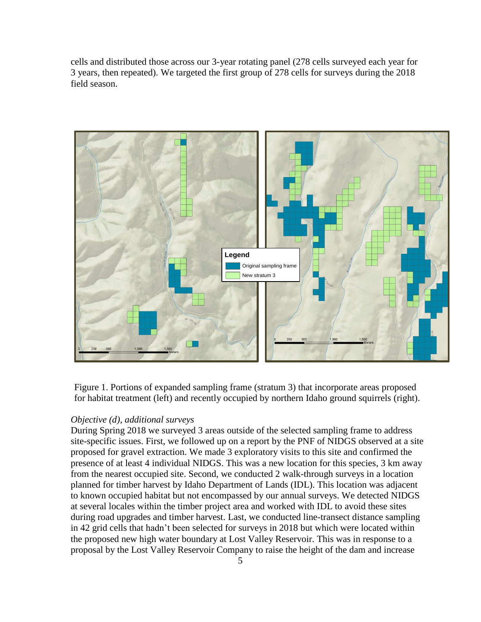cells and distributed those across our 3-year rotating panel (278 cells surveyed each year for 3 years, then repeated). We targeted the first group of 278 cells for surveys during the 2018 field season.



Figure 1. Portions of expanded sampling frame (stratum 3) that incorporate areas proposed for habitat treatment (left) and recently occupied by northern Idaho ground squirrels (right).

# *Objective (d), additional surveys*

During Spring 2018 we surveyed 3 areas outside of the selected sampling frame to address site-specific issues. First, we followed up on a report by the PNF of NIDGS observed at a site proposed for gravel extraction. We made 3 exploratory visits to this site and confirmed the presence of at least 4 individual NIDGS. This was a new location for this species, 3 km away from the nearest occupied site. Second, we conducted 2 walk-through surveys in a location planned for timber harvest by Idaho Department of Lands (IDL). This location was adjacent to known occupied habitat but not encompassed by our annual surveys. We detected NIDGS at several locales within the timber project area and worked with IDL to avoid these sites during road upgrades and timber harvest. Last, we conducted line-transect distance sampling in 42 grid cells that hadn't been selected for surveys in 2018 but which were located within the proposed new high water boundary at Lost Valley Reservoir. This was in response to a proposal by the Lost Valley Reservoir Company to raise the height of the dam and increase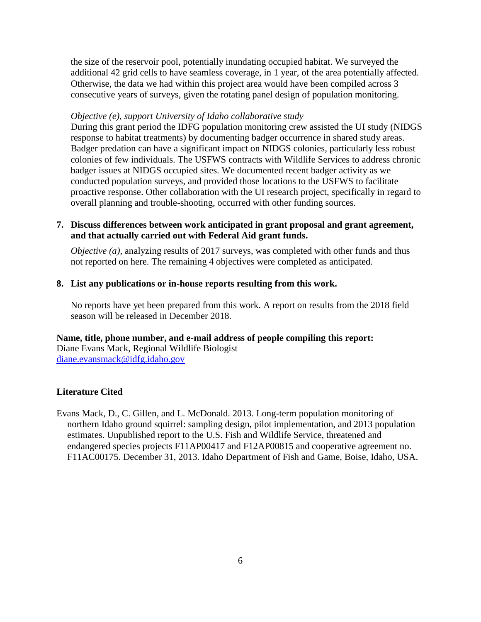the size of the reservoir pool, potentially inundating occupied habitat. We surveyed the additional 42 grid cells to have seamless coverage, in 1 year, of the area potentially affected. Otherwise, the data we had within this project area would have been compiled across 3 consecutive years of surveys, given the rotating panel design of population monitoring.

### *Objective (e), support University of Idaho collaborative study*

During this grant period the IDFG population monitoring crew assisted the UI study (NIDGS response to habitat treatments) by documenting badger occurrence in shared study areas. Badger predation can have a significant impact on NIDGS colonies, particularly less robust colonies of few individuals. The USFWS contracts with Wildlife Services to address chronic badger issues at NIDGS occupied sites. We documented recent badger activity as we conducted population surveys, and provided those locations to the USFWS to facilitate proactive response. Other collaboration with the UI research project, specifically in regard to overall planning and trouble-shooting, occurred with other funding sources.

# **7. Discuss differences between work anticipated in grant proposal and grant agreement, and that actually carried out with Federal Aid grant funds.**

*Objective (a)*, analyzing results of 2017 surveys, was completed with other funds and thus not reported on here. The remaining 4 objectives were completed as anticipated.

### **8. List any publications or in-house reports resulting from this work.**

No reports have yet been prepared from this work. A report on results from the 2018 field season will be released in December 2018.

#### **Name, title, phone number, and e-mail address of people compiling this report:**

Diane Evans Mack, Regional Wildlife Biologist [diane.evansmack@idfg.idaho.gov](mailto:diane.evansmack@idfg.idaho.gov)

### **Literature Cited**

Evans Mack, D., C. Gillen, and L. McDonald. 2013. Long-term population monitoring of northern Idaho ground squirrel: sampling design, pilot implementation, and 2013 population estimates. Unpublished report to the U.S. Fish and Wildlife Service, threatened and endangered species projects F11AP00417 and F12AP00815 and cooperative agreement no. F11AC00175. December 31, 2013. Idaho Department of Fish and Game, Boise, Idaho, USA.